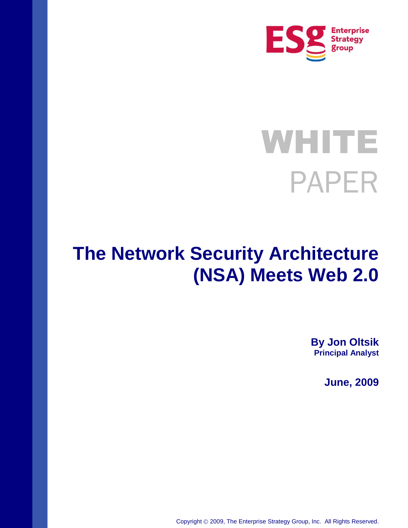

# **WHITE** PAPER

## **The Network Security Architecture (NSA) Meets Web 2.0**

**By Jon Oltsik Principal Analyst**

**June, 2009**

Copyright 2009, The Enterprise Strategy Group, Inc. All Rights Reserved.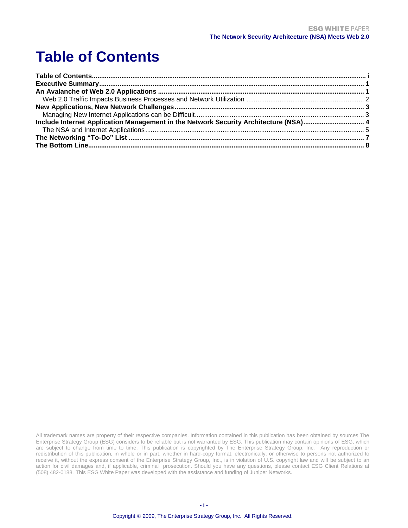### <span id="page-1-0"></span>**Table of Contents**

| Include Internet Application Management in the Network Security Architecture (NSA) 4 |  |
|--------------------------------------------------------------------------------------|--|
|                                                                                      |  |
|                                                                                      |  |
|                                                                                      |  |

All trademark names are property of their respective companies. Information contained in this publication has been obtained by sources The Enterprise Strategy Group (ESG) considers to be reliable but is not warranted by ESG. This publication may contain opinions of ESG, which are subject to change from time to time. This publication is copyrighted by The Enterprise Strategy Group, Inc. Any reproduction or redistribution of this publication, in whole or in part, whether in hard-copy format, electronically, or otherwise to persons not authorized to receive it, without the express consent of the Enterprise Strategy Group, Inc., is in violation of U.S. copyright law and will be subject to an action for civil damages and, if applicable, criminal prosecution. Should you have any questions, please contact ESG Client Relations at (508) 482-0188. This ESG White Paper was developed with the assistance and funding of Juniper Networks.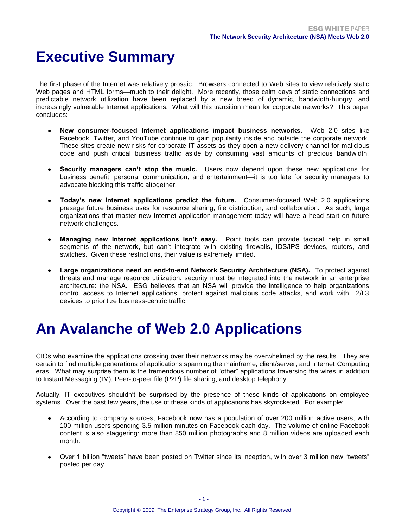### <span id="page-2-0"></span>**Executive Summary**

The first phase of the Internet was relatively prosaic. Browsers connected to Web sites to view relatively static Web pages and HTML forms—much to their delight. More recently, those calm days of static connections and predictable network utilization have been replaced by a new breed of dynamic, bandwidth-hungry, and increasingly vulnerable Internet applications. What will this transition mean for corporate networks? This paper concludes:

- **New consumer-focused Internet applications impact business networks.** Web 2.0 sites like Facebook, Twitter, and YouTube continue to gain popularity inside and outside the corporate network. These sites create new risks for corporate IT assets as they open a new delivery channel for malicious code and push critical business traffic aside by consuming vast amounts of precious bandwidth.
- **Security managers can't stop the music.** Users now depend upon these new applications for business benefit, personal communication, and entertainment—it is too late for security managers to advocate blocking this traffic altogether.
- **Today's new Internet applications predict the future.** Consumer-focused Web 2.0 applications presage future business uses for resource sharing, file distribution, and collaboration. As such, large organizations that master new Internet application management today will have a head start on future network challenges.
- **Managing new Internet applications isn't easy.** Point tools can provide tactical help in small segments of the network, but can't integrate with existing firewalls, IDS/IPS devices, routers, and switches. Given these restrictions, their value is extremely limited.
- **Large organizations need an end-to-end Network Security Architecture (NSA).** To protect against threats and manage resource utilization, security must be integrated into the network in an enterprise architecture: the NSA. ESG believes that an NSA will provide the intelligence to help organizations control access to Internet applications, protect against malicious code attacks, and work with L2/L3 devices to prioritize business-centric traffic.

### <span id="page-2-1"></span>**An Avalanche of Web 2.0 Applications**

CIOs who examine the applications crossing over their networks may be overwhelmed by the results. They are certain to find multiple generations of applications spanning the mainframe, client/server, and Internet Computing eras. What may surprise them is the tremendous number of "other" applications traversing the wires in addition to Instant Messaging (IM), Peer-to-peer file (P2P) file sharing, and desktop telephony.

Actually, IT executives shouldn't be surprised by the presence of these kinds of applications on employee systems. Over the past few years, the use of these kinds of applications has skyrocketed. For example:

- According to company sources, Facebook now has a population of over 200 million active users, with 100 million users spending 3.5 million minutes on Facebook each day. The volume of online Facebook content is also staggering: more than 850 million photographs and 8 million videos are uploaded each month.
- Over 1 billion "tweets" have been posted on Twitter since its inception, with over 3 million new "tweets" posted per day.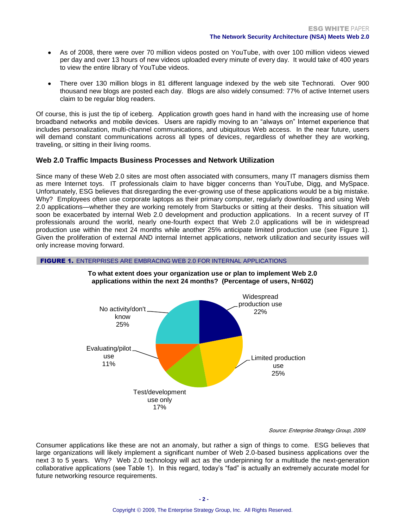- As of 2008, there were over 70 million videos posted on YouTube, with over 100 million videos viewed per day and over 13 hours of new videos uploaded every minute of every day. It would take of 400 years to view the entire library of YouTube videos.
- There over 130 million blogs in 81 different language indexed by the web site Technorati. Over 900 thousand new blogs are posted each day. Blogs are also widely consumed: 77% of active Internet users claim to be regular blog readers.

Of course, this is just the tip of iceberg. Application growth goes hand in hand with the increasing use of home broadband networks and mobile devices. Users are rapidly moving to an "always on" Internet experience that includes personalization, multi-channel communications, and ubiquitous Web access. In the near future, users will demand constant communications across all types of devices, regardless of whether they are working, traveling, or sitting in their living rooms.

### <span id="page-3-0"></span>**Web 2.0 Traffic Impacts Business Processes and Network Utilization**

Since many of these Web 2.0 sites are most often associated with consumers, many IT managers dismiss them as mere Internet toys. IT professionals claim to have bigger concerns than YouTube, Digg, and MySpace. Unfortunately, ESG believes that disregarding the ever-growing use of these applications would be a big mistake. Why? Employees often use corporate laptops as their primary computer, regularly downloading and using Web 2.0 applications—whether they are working remotely from Starbucks or sitting at their desks. This situation will soon be exacerbated by internal Web 2.0 development and production applications. In a recent survey of IT professionals around the world, nearly one-fourth expect that Web 2.0 applications will be in widespread production use within the next 24 months while another 25% anticipate limited production use (see Figure 1). Given the proliferation of external AND internal Internet applications, network utilization and security issues will only increase moving forward.

### FIGURE 1. ENTERPRISES ARE EMBRACING WEB 2.0 FOR INTERNAL APPLICATIONS



#### **To what extent does your organization use or plan to implement Web 2.0 applications within the next 24 months? (Percentage of users, N=602)**

#### Source: Enterprise Strategy Group, 2009

Consumer applications like these are not an anomaly, but rather a sign of things to come. ESG believes that large organizations will likely implement a significant number of Web 2.0-based business applications over the next 3 to 5 years. Why? Web 2.0 technology will act as the underpinning for a multitude the next-generation collaborative applications (see Table 1). In this regard, today's "fad" is actually an extremely accurate model for future networking resource requirements.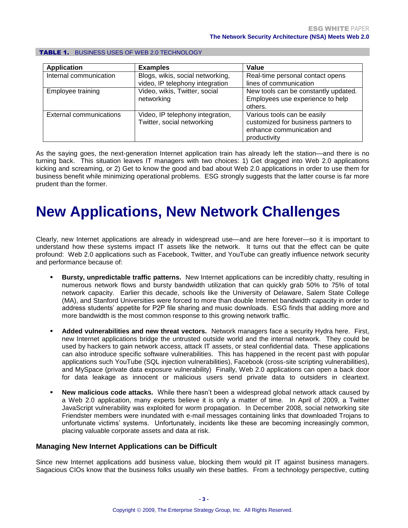| <b>Application</b>      | <b>Examples</b>                                                     | Value                                                                                                           |
|-------------------------|---------------------------------------------------------------------|-----------------------------------------------------------------------------------------------------------------|
| Internal communication  | Blogs, wikis, social networking,<br>video, IP telephony integration | Real-time personal contact opens<br>lines of communication                                                      |
| Employee training       | Video, wikis, Twitter, social<br>networking                         | New tools can be constantly updated.<br>Employees use experience to help<br>others.                             |
| External communications | Video, IP telephony integration,<br>Twitter, social networking      | Various tools can be easily<br>customized for business partners to<br>enhance communication and<br>productivity |

#### TABLE 1. BUSINESS USES OF WEB 2.0 TECHNOLOGY

As the saying goes, the next-generation Internet application train has already left the station—and there is no turning back. This situation leaves IT managers with two choices: 1) Get dragged into Web 2.0 applications kicking and screaming, or 2) Get to know the good and bad about Web 2.0 applications in order to use them for business benefit while minimizing operational problems. ESG strongly suggests that the latter course is far more prudent than the former.

### <span id="page-4-0"></span>**New Applications, New Network Challenges**

Clearly, new Internet applications are already in widespread use—and are here forever—so it is important to understand how these systems impact IT assets like the network. It turns out that the effect can be quite profound: Web 2.0 applications such as Facebook, Twitter, and YouTube can greatly influence network security and performance because of:

- **Bursty, unpredictable traffic patterns.** New Internet applications can be incredibly chatty, resulting in numerous network flows and bursty bandwidth utilization that can quickly grab 50% to 75% of total network capacity. Earlier this decade, schools like the University of Delaware, Salem State College (MA), and Stanford Universities were forced to more than double Internet bandwidth capacity in order to address students' appetite for P2P file sharing and music downloads. ESG finds that adding more and more bandwidth is the most common response to this growing network traffic.
- **Added vulnerabilities and new threat vectors.** Network managers face a security Hydra here. First, new Internet applications bridge the untrusted outside world and the internal network. They could be used by hackers to gain network access, attack IT assets, or steal confidential data. These applications can also introduce specific software vulnerabilities. This has happened in the recent past with popular applications such YouTube (SQL injection vulnerabilities), Facebook (cross-site scripting vulnerabilities), and MySpace (private data exposure vulnerability) Finally, Web 2.0 applications can open a back door for data leakage as innocent or malicious users send private data to outsiders in cleartext.
- **New malicious code attacks.** While there hasn't been a widespread global network attack caused by a Web 2.0 application, many experts believe it is only a matter of time. In April of 2009, a Twitter JavaScript vulnerability was exploited for worm propagation. In December 2008, social networking site Friendster members were inundated with e-mail messages containing links that downloaded Trojans to unfortunate victims' systems. Unfortunately, incidents like these are becoming increasingly common, placing valuable corporate assets and data at risk.

### <span id="page-4-1"></span>**Managing New Internet Applications can be Difficult**

Since new Internet applications add business value, blocking them would pit IT against business managers. Sagacious CIOs know that the business folks usually win these battles. From a technology perspective, cutting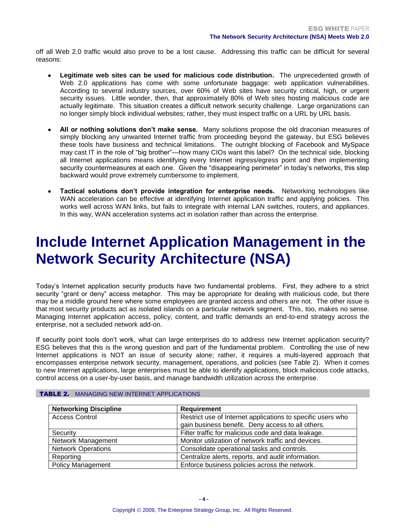off all Web 2.0 traffic would also prove to be a lost cause. Addressing this traffic can be difficult for several reasons:

- **Legitimate web sites can be used for malicious code distribution.** The unprecedented growth of Web 2.0 applications has come with some unfortunate baggage: web application vulnerabilities. According to several industry sources, over 60% of Web sites have security critical, high, or urgent security issues. Little wonder, then, that approximately 80% of Web sites hosting malicious code are actually legitimate. This situation creates a difficult network security challenge. Large organizations can no longer simply block individual websites; rather, they must inspect traffic on a URL by URL basis.
- **All or nothing solutions don't make sense.** Many solutions propose the old draconian measures of simply blocking any unwanted Internet traffic from proceeding beyond the gateway, but ESG believes these tools have business and technical limitations. The outright blocking of Facebook and MySpace may cast IT in the role of "big brother"—how many CIOs want this label? On the technical side, blocking all Internet applications means identifying every Internet ingress/egress point and then implementing security countermeasures at each one. Given the "disappearing perimeter" in today's networks, this step backward would prove extremely cumbersome to implement.
- **Tactical solutions don't provide integration for enterprise needs.** Networking technologies like WAN acceleration can be effective at identifying Internet application traffic and applying policies. This works well across WAN links, but fails to integrate with internal LAN switches, routers, and appliances. In this way, WAN acceleration systems act in isolation rather than across the enterprise.

### <span id="page-5-0"></span>**Include Internet Application Management in the Network Security Architecture (NSA)**

Today's Internet application security products have two fundamental problems. First, they adhere to a strict security "grant or deny" access metaphor. This may be appropriate for dealing with malicious code, but there may be a middle ground here where some employees are granted access and others are not. The other issue is that most security products act as isolated islands on a particular network segment. This, too, makes no sense. Managing Internet application access, policy, content, and traffic demands an end-to-end strategy across the enterprise, not a secluded network add-on.

If security point tools don't work, what can large enterprises do to address new Internet application security? ESG believes that this is the wrong question and part of the fundamental problem. Controlling the use of new Internet applications is NOT an issue of security alone; rather, it requires a multi-layered approach that encompasses enterprise network security, management, operations, and policies (see Table 2). When it comes to new Internet applications, large enterprises must be able to identify applications, block malicious code attacks, control access on a user-by-user basis, and manage bandwidth utilization across the enterprise.

| <b>Networking Discipline</b> | <b>Requirement</b>                                                                                               |
|------------------------------|------------------------------------------------------------------------------------------------------------------|
| <b>Access Control</b>        | Restrict use of Internet applications to specific users who<br>gain business benefit. Deny access to all others. |
| Security                     | Filter traffic for malicious code and data leakage.                                                              |
| Network Management           | Monitor utilization of network traffic and devices.                                                              |
| <b>Network Operations</b>    | Consolidate operational tasks and controls.                                                                      |
| Reporting                    | Centralize alerts, reports, and audit information.                                                               |
| <b>Policy Management</b>     | Enforce business policies across the network.                                                                    |

#### TABLE 2. MANAGING NEW INTERNET APPLICATIONS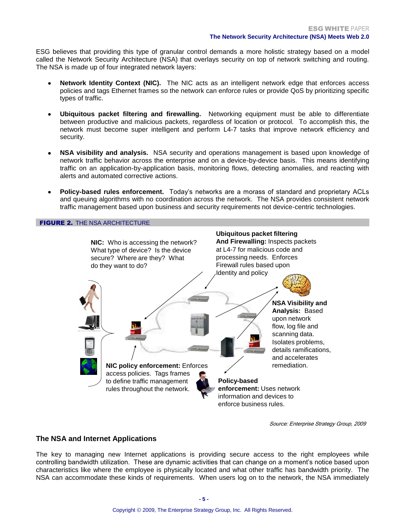ESG believes that providing this type of granular control demands a more holistic strategy based on a model called the Network Security Architecture (NSA) that overlays security on top of network switching and routing. The NSA is made up of four integrated network layers:

- **Network Identity Context (NIC).** The NIC acts as an intelligent network edge that enforces access policies and tags Ethernet frames so the network can enforce rules or provide QoS by prioritizing specific types of traffic.
- **Ubiquitous packet filtering and firewalling.** Networking equipment must be able to differentiate between productive and malicious packets, regardless of location or protocol. To accomplish this, the network must become super intelligent and perform L4-7 tasks that improve network efficiency and security.
- **NSA visibility and analysis.** NSA security and operations management is based upon knowledge of network traffic behavior across the enterprise and on a device-by-device basis. This means identifying traffic on an application-by-application basis, monitoring flows, detecting anomalies, and reacting with alerts and automated corrective actions.
- **Policy-based rules enforcement.** Today's networks are a morass of standard and proprietary ACLs and queuing algorithms with no coordination across the network. The NSA provides consistent network traffic management based upon business and security requirements not device-centric technologies.

FIGURE 2. THE NSA ARCHITECTURE



Source: Enterprise Strategy Group, 2009

### <span id="page-6-0"></span>**The NSA and Internet Applications**

The key to managing new Internet applications is providing secure access to the right employees while controlling bandwidth utilization. These are dynamic activities that can change on a moment's notice based upon characteristics like where the employee is physically located and what other traffic has bandwidth priority. The NSA can accommodate these kinds of requirements. When users log on to the network, the NSA immediately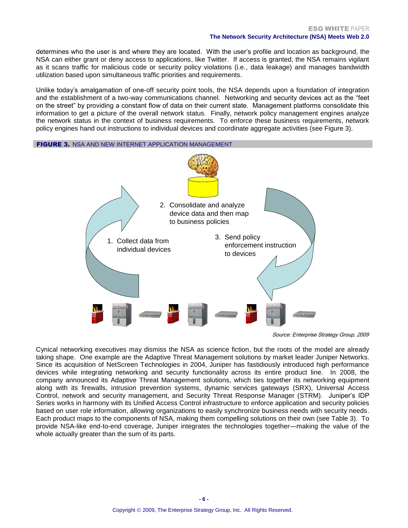determines who the user is and where they are located. With the user's profile and location as background, the NSA can either grant or deny access to applications, like Twitter. If access is granted, the NSA remains vigilant as it scans traffic for malicious code or security policy violations (i.e., data leakage) and manages bandwidth utilization based upon simultaneous traffic priorities and requirements.

Unlike today's amalgamation of one-off security point tools, the NSA depends upon a foundation of integration and the establishment of a two-way communications channel. Networking and security devices act as the "feet on the street" by providing a constant flow of data on their current state. Management platforms consolidate this information to get a picture of the overall network status. Finally, network policy management engines analyze the network status in the context of business requirements. To enforce these business requirements, network policy engines hand out instructions to individual devices and coordinate aggregate activities (see Figure 3).

#### **FIGURE 3. NSA AND NEW INTERNET APPLICATION MANAGEMENT**



Source: Enterprise Strategy Group, 2009

Cynical networking executives may dismiss the NSA as science fiction, but the roots of the model are already taking shape. One example are the Adaptive Threat Management solutions by market leader Juniper Networks. Since its acquisition of NetScreen Technologies in 2004, Juniper has fastidiously introduced high performance devices while integrating networking and security functionality across its entire product line. In 2008, the company announced its Adaptive Threat Management solutions, which ties together its networking equipment along with its firewalls, intrusion prevention systems, dynamic services gateways (SRX), Universal Access Control, network and security management, and Security Threat Response Manager (STRM). Juniper's IDP Series works in harmony with its Unified Access Control infrastructure to enforce application and security policies based on user role information, allowing organizations to easily synchronize business needs with security needs. Each product maps to the components of NSA, making them compelling solutions on their own (see Table 3). To provide NSA-like end-to-end coverage, Juniper integrates the technologies together—making the value of the whole actually greater than the sum of its parts.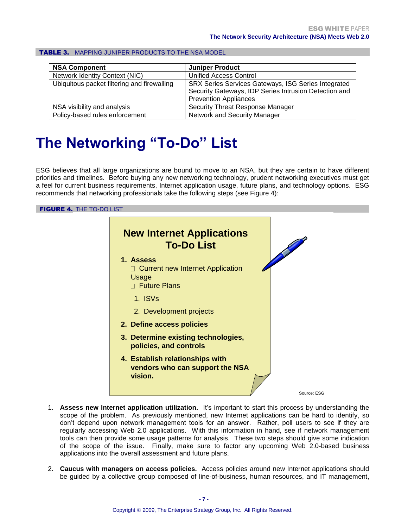| <b>NSA Component</b>                        | <b>Juniper Product</b>                                                                                                                       |
|---------------------------------------------|----------------------------------------------------------------------------------------------------------------------------------------------|
| <b>Network Identity Context (NIC)</b>       | <b>Unified Access Control</b>                                                                                                                |
| Ubiquitous packet filtering and firewalling | SRX Series Services Gateways, ISG Series Integrated<br>Security Gateways, IDP Series Intrusion Detection and<br><b>Prevention Appliances</b> |
| NSA visibility and analysis                 | <b>Security Threat Response Manager</b>                                                                                                      |
| Policy-based rules enforcement              | <b>Network and Security Manager</b>                                                                                                          |

#### TABLE 3. MAPPING JUNIPER PRODUCTS TO THE NSA MODEL

### <span id="page-8-0"></span>**The Networking "To-Do" List**

ESG believes that all large organizations are bound to move to an NSA, but they are certain to have different priorities and timelines. Before buying any new networking technology, prudent networking executives must get a feel for current business requirements, Internet application usage, future plans, and technology options. ESG recommends that networking professionals take the following steps (see Figure 4):

### **FIGURE 4. THE TO-DO LIST**



- 1. **Assess new Internet application utilization.** It's important to start this process by understanding the scope of the problem. As previously mentioned, new Internet applications can be hard to identify, so don't depend upon network management tools for an answer. Rather, poll users to see if they are regularly accessing Web 2.0 applications. With this information in hand, see if network management tools can then provide some usage patterns for analysis. These two steps should give some indication of the scope of the issue. Finally, make sure to factor any upcoming Web 2.0-based business applications into the overall assessment and future plans.
- 2. **Caucus with managers on access policies.** Access policies around new Internet applications should be guided by a collective group composed of line-of-business, human resources, and IT management,